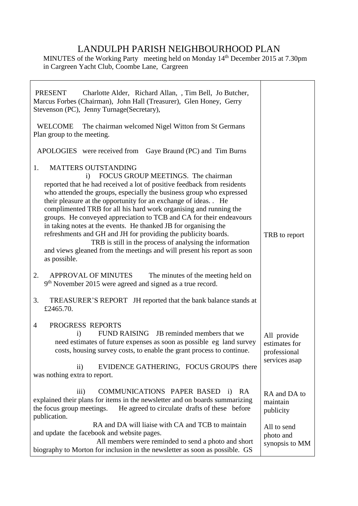## LANDULPH PARISH NEIGHBOURHOOD PLAN

 $\top$ 

MINUTES of the Working Party meeting held on Monday 14<sup>th</sup> December 2015 at 7.30pm in Cargreen Yacht Club, Coombe Lane, Cargreen

| Charlotte Alder, Richard Allan, , Tim Bell, Jo Butcher,<br><b>PRESENT</b><br>Marcus Forbes (Chairman), John Hall (Treasurer), Glen Honey, Gerry<br>Stevenson (PC), Jenny Turnage (Secretary),                                                                                                                                                                                                                                                                                                                                                                                                                                                                                                                                                         |                                                               |
|-------------------------------------------------------------------------------------------------------------------------------------------------------------------------------------------------------------------------------------------------------------------------------------------------------------------------------------------------------------------------------------------------------------------------------------------------------------------------------------------------------------------------------------------------------------------------------------------------------------------------------------------------------------------------------------------------------------------------------------------------------|---------------------------------------------------------------|
| <b>WELCOME</b><br>The chairman welcomed Nigel Witton from St Germans<br>Plan group to the meeting.                                                                                                                                                                                                                                                                                                                                                                                                                                                                                                                                                                                                                                                    |                                                               |
| APOLOGIES were received from<br>Gaye Braund (PC) and Tim Burns                                                                                                                                                                                                                                                                                                                                                                                                                                                                                                                                                                                                                                                                                        |                                                               |
| <b>MATTERS OUTSTANDING</b><br>1.<br>FOCUS GROUP MEETINGS. The chairman<br>$\mathbf{1}$<br>reported that he had received a lot of positive feedback from residents<br>who attended the groups, especially the business group who expressed<br>their pleasure at the opportunity for an exchange of ideas. . He<br>complimented TRB for all his hard work organising and running the<br>groups. He conveyed appreciation to TCB and CA for their endeavours<br>in taking notes at the events. He thanked JB for organising the<br>refreshments and GH and JH for providing the publicity boards.<br>TRB is still in the process of analysing the information<br>and views gleaned from the meetings and will present his report as soon<br>as possible. | TRB to report                                                 |
| 2.<br><b>APPROVAL OF MINUTES</b><br>The minutes of the meeting held on<br>9 <sup>th</sup> November 2015 were agreed and signed as a true record.                                                                                                                                                                                                                                                                                                                                                                                                                                                                                                                                                                                                      |                                                               |
| 3.<br>TREASURER'S REPORT JH reported that the bank balance stands at<br>£2465.70.                                                                                                                                                                                                                                                                                                                                                                                                                                                                                                                                                                                                                                                                     |                                                               |
| PROGRESS REPORTS<br>$\overline{4}$<br>FUND RAISING JB reminded members that we<br>$\mathbf{i}$<br>need estimates of future expenses as soon as possible eg land survey<br>costs, housing survey costs, to enable the grant process to continue.<br>EVIDENCE GATHERING, FOCUS GROUPS there<br>$\rm ii)$<br>was nothing extra to report.                                                                                                                                                                                                                                                                                                                                                                                                                | All provide<br>estimates for<br>professional<br>services asap |
| COMMUNICATIONS PAPER BASED<br>$i)$ RA<br>$\overline{111}$<br>explained their plans for items in the newsletter and on boards summarizing<br>He agreed to circulate drafts of these before<br>the focus group meetings.<br>publication.                                                                                                                                                                                                                                                                                                                                                                                                                                                                                                                | RA and DA to<br>maintain<br>publicity                         |
| RA and DA will liaise with CA and TCB to maintain<br>and update the facebook and website pages.<br>All members were reminded to send a photo and short<br>biography to Morton for inclusion in the newsletter as soon as possible. GS                                                                                                                                                                                                                                                                                                                                                                                                                                                                                                                 | All to send<br>photo and<br>synopsis to MM                    |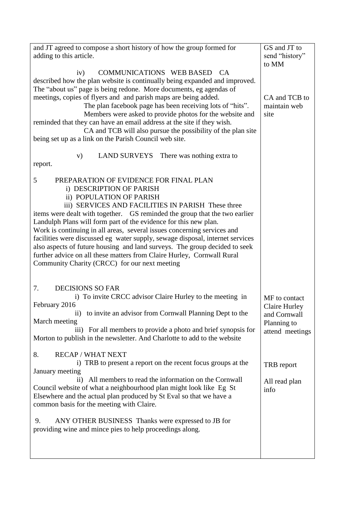| and JT agreed to compose a short history of how the group formed for<br>adding to this article.                                                                                                                                                                                                                                                                                                                                                                                                                                                                                                                                                                                                                                                                                                                                              | GS and JT to<br>send "history"<br>to MM                                                                                 |
|----------------------------------------------------------------------------------------------------------------------------------------------------------------------------------------------------------------------------------------------------------------------------------------------------------------------------------------------------------------------------------------------------------------------------------------------------------------------------------------------------------------------------------------------------------------------------------------------------------------------------------------------------------------------------------------------------------------------------------------------------------------------------------------------------------------------------------------------|-------------------------------------------------------------------------------------------------------------------------|
| COMMUNICATIONS WEB BASED CA<br>iv)<br>described how the plan website is continually being expanded and improved.<br>The "about us" page is being redone. More documents, eg agendas of<br>meetings, copies of flyers and and parish maps are being added.<br>The plan facebook page has been receiving lots of "hits".<br>Members were asked to provide photos for the website and<br>reminded that they can have an email address at the site if they wish.<br>CA and TCB will also pursue the possibility of the plan site<br>being set up as a link on the Parish Council web site.                                                                                                                                                                                                                                                       | CA and TCB to<br>maintain web<br>site                                                                                   |
| LAND SURVEYS There was nothing extra to<br>V)<br>report.                                                                                                                                                                                                                                                                                                                                                                                                                                                                                                                                                                                                                                                                                                                                                                                     |                                                                                                                         |
| 5<br>PREPARATION OF EVIDENCE FOR FINAL PLAN<br>i) DESCRIPTION OF PARISH<br>ii) POPULATION OF PARISH<br>iii) SERVICES AND FACILITIES IN PARISH These three<br>items were dealt with together. GS reminded the group that the two earlier<br>Landulph Plans will form part of the evidence for this new plan.<br>Work is continuing in all areas, several issues concerning services and<br>facilities were discussed eg water supply, sewage disposal, internet services<br>also aspects of future housing and land surveys. The group decided to seek<br>further advice on all these matters from Claire Hurley, Cornwall Rural<br>Community Charity (CRCC) for our next meeting                                                                                                                                                             |                                                                                                                         |
| 7.<br><b>DECISIONS SO FAR</b><br>i) To invite CRCC advisor Claire Hurley to the meeting in<br>February 2016<br>ii) to invite an advisor from Cornwall Planning Dept to the<br>March meeting<br>iii) For all members to provide a photo and brief synopsis for<br>Morton to publish in the newsletter. And Charlotte to add to the website<br>8.<br><b>RECAP/WHAT NEXT</b><br>i) TRB to present a report on the recent focus groups at the<br>January meeting<br>All members to read the information on the Cornwall<br>11)<br>Council website of what a neighbourhood plan might look like Eg St<br>Elsewhere and the actual plan produced by St Eval so that we have a<br>common basis for the meeting with Claire.<br>ANY OTHER BUSINESS Thanks were expressed to JB for<br>9.<br>providing wine and mince pies to help proceedings along. | MF to contact<br>Claire Hurley<br>and Cornwall<br>Planning to<br>attend meetings<br>TRB report<br>All read plan<br>info |